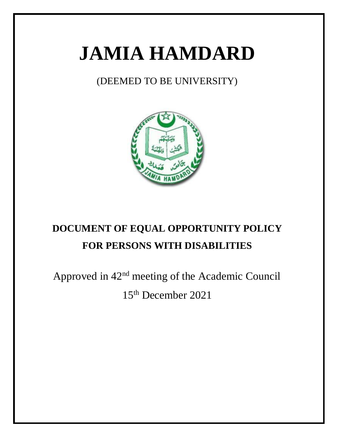# **JAMIA HAMDARD**

### (DEEMED TO BE UNIVERSITY)



## **DOCUMENT OF EQUAL OPPORTUNITY POLICY FOR PERSONS WITH DISABILITIES**

Approved in 42nd meeting of the Academic Council

15th December 2021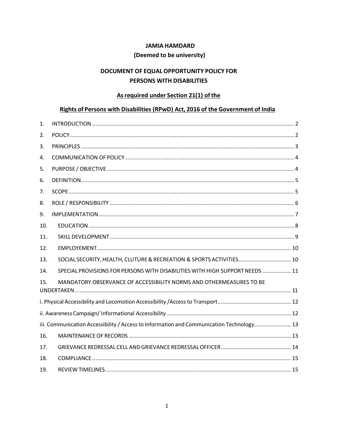#### **JAMIA HAMDARD**

#### (Deemed to be university)

#### DOCUMENT OF EQUAL OPPORTUNITY POLICY FOR PERSONS WITH DISABILITIES

#### As required under Section 21(1) of the

#### Rights of Persons with Disabilities (RPwD) Act, 2016 of the Government of India

| 1.  |                                                                                          |
|-----|------------------------------------------------------------------------------------------|
| 2.  |                                                                                          |
| 3.  |                                                                                          |
| 4.  |                                                                                          |
| 5.  |                                                                                          |
| 6.  |                                                                                          |
| 7.  |                                                                                          |
| 8.  |                                                                                          |
| 9.  |                                                                                          |
| 10. |                                                                                          |
| 11. |                                                                                          |
| 12. |                                                                                          |
| 13. | SOCIAL SECURITY, HEALTH, CLUTURE & RECREATION & SPORTS ACTIVITIES 10                     |
| 14. | SPECIAL PROVISIONS FOR PERSONS WITH DISABILITIES WITH HIGH SUPPORT NEEDS  11             |
| 15. | MANDATORY OBSERVANCE OF ACCESSIBILITY NORMS AND OTHERMEASURES TO BE                      |
|     |                                                                                          |
|     |                                                                                          |
|     |                                                                                          |
|     | iii. Communication Accessibility / Access to Information and Communication Technology 13 |
| 16. |                                                                                          |
| 17. |                                                                                          |
| 18. |                                                                                          |
| 19. |                                                                                          |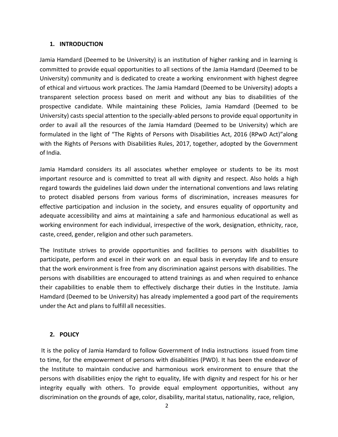#### **1. INTRODUCTION**

<span id="page-2-0"></span>Jamia Hamdard (Deemed to be University) is an institution of higher ranking and in learning is committed to provide equal opportunities to all sections of the Jamia Hamdard (Deemed to be University) community and is dedicated to create a working environment with highest degree of ethical and virtuous work practices. The Jamia Hamdard (Deemed to be University) adopts a transparent selection process based on merit and without any bias to disabilities of the prospective candidate. While maintaining these Policies, Jamia Hamdard (Deemed to be University) casts special attention to the specially-abled persons to provide equal opportunity in order to avail all the resources of the Jamia Hamdard (Deemed to be University) which are formulated in the light of "The Rights of Persons with Disabilities Act, 2016 (RPwD Act)"along with the Rights of Persons with Disabilities Rules, 2017, together, adopted by the Government of India.

Jamia Hamdard considers its all associates whether employee or students to be its most important resource and is committed to treat all with dignity and respect. Also holds a high regard towards the guidelines laid down under the international conventions and laws relating to protect disabled persons from various forms of discrimination, increases measures for effective participation and inclusion in the society, and ensures equality of opportunity and adequate accessibility and aims at maintaining a safe and harmonious educational as well as working environment for each individual, irrespective of the work, designation, ethnicity, race, caste, creed, gender, religion and other such parameters.

The Institute strives to provide opportunities and facilities to persons with disabilities to participate, perform and excel in their work on an equal basis in everyday life and to ensure that the work environment is free from any discrimination against persons with disabilities. The persons with disabilities are encouraged to attend trainings as and when required to enhance their capabilities to enable them to effectively discharge their duties in the Institute. Jamia Hamdard (Deemed to be University) has already implemented a good part of the requirements under the Act and plans to fulfill all necessities.

#### **2. POLICY**

<span id="page-2-1"></span>It is the policy of Jamia Hamdard to follow Government of India instructions issued from time to time, for the empowerment of persons with disabilities (PWD). It has been the endeavor of the Institute to maintain conducive and harmonious work environment to ensure that the persons with disabilities enjoy the right to equality, life with dignity and respect for his or her integrity equally with others. To provide equal employment opportunities, without any discrimination on the grounds of age, color, disability, marital status, nationality, race, religion,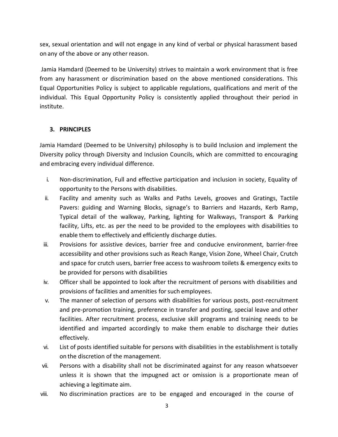sex, sexual orientation and will not engage in any kind of verbal or physical harassment based on any of the above or any other reason.

Jamia Hamdard (Deemed to be University) strives to maintain a work environment that is free from any harassment or discrimination based on the above mentioned considerations. This Equal Opportunities Policy is subject to applicable regulations, qualifications and merit of the individual. This Equal Opportunity Policy is consistently applied throughout their period in institute.

#### <span id="page-3-0"></span>**3. PRINCIPLES**

Jamia Hamdard (Deemed to be University) philosophy is to build Inclusion and implement the Diversity policy through Diversity and Inclusion Councils, which are committed to encouraging and embracing every individual difference.

- i. Non-discrimination, Full and effective participation and inclusion in society, Equality of opportunity to the Persons with disabilities.
- ii. Facility and amenity such as Walks and Paths Levels, grooves and Gratings, Tactile Pavers: guiding and Warning Blocks, signage's to Barriers and Hazards, Kerb Ramp, Typical detail of the walkway, Parking, lighting for Walkways, Transport & Parking facility, Lifts, etc. as per the need to be provided to the employees with disabilities to enable them to effectively and efficiently discharge duties.
- iii. Provisions for assistive devices, barrier free and conducive environment, barrier-free accessibility and other provisions such as Reach Range, Vision Zone, Wheel Chair, Crutch and space for crutch users, barrier free access to washroom toilets & emergency exits to be provided for persons with disabilities
- iv. Officer shall be appointed to look after the recruitment of persons with disabilities and provisions of facilities and amenities for such employees.
- v. The manner of selection of persons with disabilities for various posts, post-recruitment and pre-promotion training, preference in transfer and posting, special leave and other facilities. After recruitment process, exclusive skill programs and training needs to be identified and imparted accordingly to make them enable to discharge their duties effectively.
- vi. List of posts identified suitable for persons with disabilities in the establishment is totally on the discretion of the management.
- vii. Persons with a disability shall not be discriminated against for any reason whatsoever unless it is shown that the impugned act or omission is a proportionate mean of achieving a legitimate aim.
- viii. No discrimination practices are to be engaged and encouraged in the course of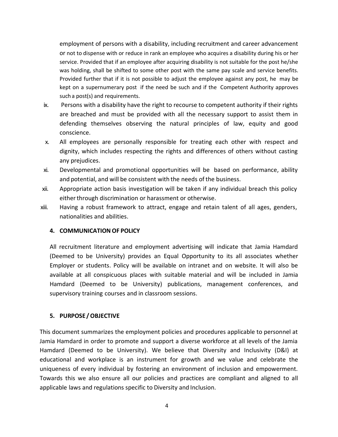employment of persons with a disability, including recruitment and career advancement or not to dispense with or reduce in rank an employee who acquires a disability during his or her service. Provided that if an employee after acquiring disability is not suitable for the post he/she was holding, shall be shifted to some other post with the same pay scale and service benefits. Provided further that if it is not possible to adjust the employee against any post, he may be kept on a supernumerary post if the need be such and if the Competent Authority approves such a post(s) and requirements.

- ix. Persons with a disability have the right to recourse to competent authority if their rights are breached and must be provided with all the necessary support to assist them in defending themselves observing the natural principles of law, equity and good conscience.
- x. All employees are personally responsible for treating each other with respect and dignity, which includes respecting the rights and differences of others without casting any prejudices.
- xi. Developmental and promotional opportunities will be based on performance, ability and potential, and will be consistent with the needs of the business.
- xii. Appropriate action basis investigation will be taken if any individual breach this policy either through discrimination or harassment or otherwise.
- <span id="page-4-0"></span>xiii. Having a robust framework to attract, engage and retain talent of all ages, genders, nationalities and abilities.

#### **4. COMMUNICATION OF POLICY**

All recruitment literature and employment advertising will indicate that Jamia Hamdard (Deemed to be University) provides an Equal Opportunity to its all associates whether Employer or students. Policy will be available on intranet and on website. It will also be available at all conspicuous places with suitable material and will be included in Jamia Hamdard (Deemed to be University) publications, management conferences, and supervisory training courses and in classroom sessions.

#### <span id="page-4-1"></span>**5. PURPOSE /OBJECTIVE**

This document summarizes the employment policies and procedures applicable to personnel at Jamia Hamdard in order to promote and support a diverse workforce at all levels of the Jamia Hamdard (Deemed to be University). We believe that Diversity and Inclusivity (D&I) at educational and workplace is an instrument for growth and we value and celebrate the uniqueness of every individual by fostering an environment of inclusion and empowerment. Towards this we also ensure all our policies and practices are compliant and aligned to all applicable laws and regulations specific to Diversity and Inclusion.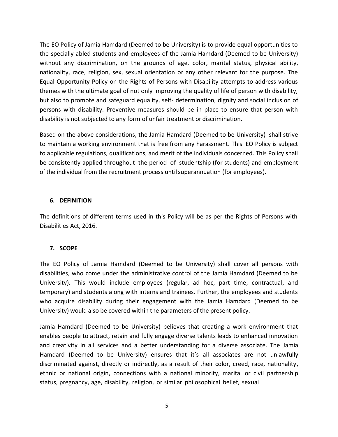The EO Policy of Jamia Hamdard (Deemed to be University) is to provide equal opportunities to the specially abled students and employees of the Jamia Hamdard (Deemed to be University) without any discrimination, on the grounds of age, color, marital status, physical ability, nationality, race, religion, sex, sexual orientation or any other relevant for the purpose. The Equal Opportunity Policy on the Rights of Persons with Disability attempts to address various themes with the ultimate goal of not only improving the quality of life of person with disability, but also to promote and safeguard equality, self- determination, dignity and social inclusion of persons with disability. Preventive measures should be in place to ensure that person with disability is not subjected to any form of unfair treatment or discrimination.

Based on the above considerations, the Jamia Hamdard (Deemed to be University) shall strive to maintain a working environment that is free from any harassment. This EO Policy is subject to applicable regulations, qualifications, and merit of the individuals concerned. This Policy shall be consistently applied throughout the period of studentship (for students) and employment of the individual from the recruitment process untilsuperannuation (for employees).

#### **6. DEFINITION**

<span id="page-5-0"></span>The definitions of different terms used in this Policy will be as per the Rights of Persons with Disabilities Act, 2016.

#### <span id="page-5-1"></span>**7. SCOPE**

The EO Policy of Jamia Hamdard (Deemed to be University) shall cover all persons with disabilities, who come under the administrative control of the Jamia Hamdard (Deemed to be University). This would include employees (regular, ad hoc, part time, contractual, and temporary) and students along with interns and trainees. Further, the employees and students who acquire disability during their engagement with the Jamia Hamdard (Deemed to be University) would also be covered within the parameters of the present policy.

Jamia Hamdard (Deemed to be University) believes that creating a work environment that enables people to attract, retain and fully engage diverse talents leads to enhanced innovation and creativity in all services and a better understanding for a diverse associate. The Jamia Hamdard (Deemed to be University) ensures that it's all associates are not unlawfully discriminated against, directly or indirectly, as a result of their color, creed, race, nationality, ethnic or national origin, connections with a national minority, marital or civil partnership status, pregnancy, age, disability, religion, or similar philosophical belief, sexual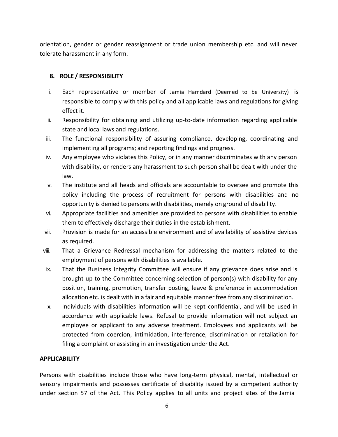orientation, gender or gender reassignment or trade union membership etc. and will never tolerate harassment in any form.

#### <span id="page-6-0"></span>**8. ROLE / RESPONSIBILITY**

- i. Each representative or member of Jamia Hamdard (Deemed to be University) is responsible to comply with this policy and all applicable laws and regulations for giving effect it.
- ii. Responsibility for obtaining and utilizing up‐to‐date information regarding applicable state and local laws and regulations.
- iii. The functional responsibility of assuring compliance, developing, coordinating and implementing all programs; and reporting findings and progress.
- iv. Any employee who violates this Policy, or in any manner discriminates with any person with disability, or renders any harassment to such person shall be dealt with under the law.
- v. The institute and all heads and officials are accountable to oversee and promote this policy including the process of recruitment for persons with disabilities and no opportunity is denied to persons with disabilities, merely on ground of disability.
- vi. Appropriate facilities and amenities are provided to persons with disabilities to enable them to effectively discharge their duties in the establishment.
- vii. Provision is made for an accessible environment and of availability of assistive devices as required.
- viii. That a Grievance Redressal mechanism for addressing the matters related to the employment of persons with disabilities is available.
- ix. That the Business Integrity Committee will ensure if any grievance does arise and is brought up to the Committee concerning selection of person(s) with disability for any position, training, promotion, transfer posting, leave & preference in accommodation allocation etc. is dealt with in a fair and equitable manner free from any discrimination.
- x. Individuals with disabilities information will be kept confidential, and will be used in accordance with applicable laws. Refusal to provide information will not subject an employee or applicant to any adverse treatment. Employees and applicants will be protected from coercion, intimidation, interference, discrimination or retaliation for filing a complaint or assisting in an investigation under the Act.

#### **APPLICABILITY**

Persons with disabilities include those who have long-term physical, mental, intellectual or sensory impairments and possesses certificate of disability issued by a competent authority under section 57 of the Act. This Policy applies to all units and project sites of the Jamia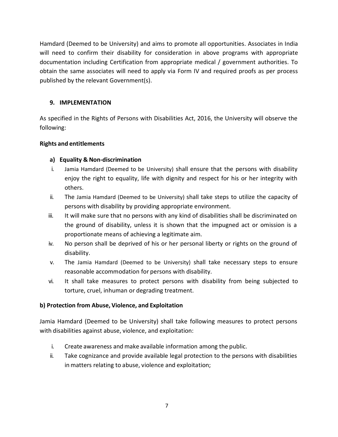Hamdard (Deemed to be University) and aims to promote all opportunities. Associates in India will need to confirm their disability for consideration in above programs with appropriate documentation including Certification from appropriate medical / government authorities. To obtain the same associates will need to apply via Form IV and required proofs as per process published by the relevant Government(s).

#### <span id="page-7-0"></span>**9. IMPLEMENTATION**

As specified in the Rights of Persons with Disabilities Act, 2016, the University will observe the following:

#### **Rights and entitlements**

#### **a) Equality & Non-discrimination**

- i. Jamia Hamdard (Deemed to be University) shall ensure that the persons with disability enjoy the right to equality, life with dignity and respect for his or her integrity with others.
- ii. The Jamia Hamdard (Deemed to be University) shall take steps to utilize the capacity of persons with disability by providing appropriate environment.
- iii. It will make sure that no persons with any kind of disabilities shall be discriminated on the ground of disability, unless it is shown that the impugned act or omission is a proportionate means of achieving a legitimate aim.
- iv. No person shall be deprived of his or her personal liberty or rights on the ground of disability.
- v. The Jamia Hamdard (Deemed to be University) shall take necessary steps to ensure reasonable accommodation for persons with disability.
- vi. It shall take measures to protect persons with disability from being subjected to torture, cruel, inhuman or degrading treatment.

#### **b) Protection from Abuse, Violence, and Exploitation**

Jamia Hamdard (Deemed to be University) shall take following measures to protect persons with disabilities against abuse, violence, and exploitation:

- i. Create awareness andmake available information among the public.
- ii. Take cognizance and provide available legal protection to the persons with disabilities in matters relating to abuse, violence and exploitation;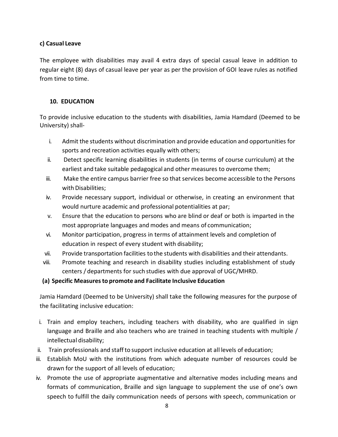#### **c) Casual Leave**

The employee with disabilities may avail 4 extra days of special casual leave in addition to regular eight (8) days of casual leave per year as per the provision of GOI leave rules as notified from time to time.

#### <span id="page-8-0"></span>**10. EDUCATION**

To provide inclusive education to the students with disabilities, Jamia Hamdard (Deemed to be University) shall-

- i. Admit the students without discrimination and provide education and opportunities for sports and recreation activities equally with others;
- ii. Detect specific learning disabilities in students (in terms of course curriculum) at the earliest and take suitable pedagogical and other measures to overcome them;
- iii. Make the entire campus barrier free so that services become accessible to the Persons with Disabilities;
- iv. Provide necessary support, individual or otherwise, in creating an environment that would nurture academic and professional potentialities at par;
- v. Ensure that the education to persons who are blind or deaf or both is imparted in the most appropriate languages and modes and means of communication;
- vi. Monitor participation, progress in terms of attainment levels and completion of education in respect of every student with disability;
- vii. Provide transportation facilities to the students with disabilities and their attendants.
- viii. Promote teaching and research in disability studies including establishment of study centers / departments for such studies with due approval of UGC/MHRD.
- **(a) Specific Measuresto promote and Facilitate Inclusive Education**

Jamia Hamdard (Deemed to be University) shall take the following measures for the purpose of the facilitating inclusive education:

- i. Train and employ teachers, including teachers with disability, who are qualified in sign language and Braille and also teachers who are trained in teaching students with multiple / intellectual disability;
- ii. Train professionals and staffto support inclusive education at all levels of education;
- iii. Establish MoU with the institutions from which adequate number of resources could be drawn for the support of all levels of education;
- iv. Promote the use of appropriate augmentative and alternative modes including means and formats of communication, Braille and sign language to supplement the use of one's own speech to fulfill the daily communication needs of persons with speech, communication or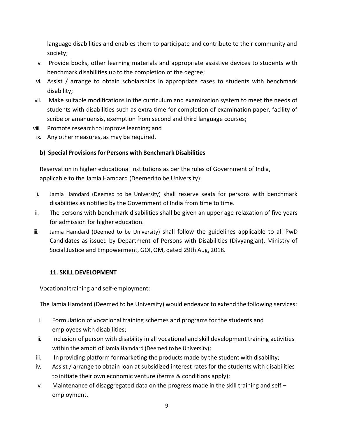language disabilities and enables them to participate and contribute to their community and society;

- v. Provide books, other learning materials and appropriate assistive devices to students with benchmark disabilities up to the completion of the degree;
- vi. Assist / arrange to obtain scholarships in appropriate cases to students with benchmark disability;
- vii. Make suitable modifications in the curriculum and examination system to meet the needs of students with disabilities such as extra time for completion of examination paper, facility of scribe or amanuensis, exemption from second and third language courses;
- viii. Promote research to improve learning; and
- ix. Any other measures, as may be required.

#### **b) Special Provisions for Persons with BenchmarkDisabilities**

Reservation in higher educational institutions as per the rules of Government of India, applicable to the Jamia Hamdard (Deemed to be University):

- i. Jamia Hamdard (Deemed to be University) shall reserve seats for persons with benchmark disabilities as notified by the Government of India from time to time.
- ii. The persons with benchmark disabilities shall be given an upper age relaxation of five years for admission for higher education.
- iii. Jamia Hamdard (Deemed to be University) shall follow the guidelines applicable to all PwD Candidates as issued by Department of Persons with Disabilities (Divyangjan), Ministry of Social Justice and Empowerment, GOI,OM, dated 29th Aug, 2018.

#### <span id="page-9-0"></span>**11. SKILL DEVELOPMENT**

Vocational training and self-employment:

The Jamia Hamdard (Deemed to be University) would endeavor to extend the following services:

- i. Formulation of vocational training schemes and programs for the students and employees with disabilities;
- ii. Inclusion of person with disability in all vocational and skill development training activities within the ambit of Jamia Hamdard (Deemed to be University);
- iii. In providing platform formarketing the products made by the student with disability;
- iv. Assist / arrange to obtain loan at subsidized interest rates for the students with disabilities to initiate their own economic venture (terms & conditions apply);
- v. Maintenance of disaggregated data on the progress made in the skill training and self  $$ employment.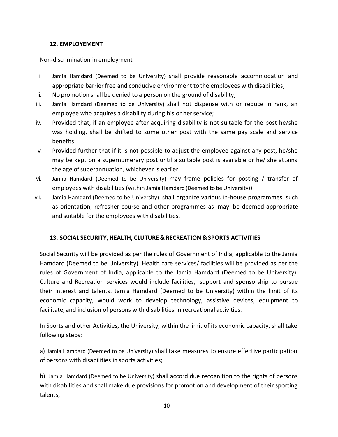#### **12. EMPLOYEMENT**

#### <span id="page-10-0"></span>Non-discrimination in employment

- i. Jamia Hamdard (Deemed to be University) shall provide reasonable accommodation and appropriate barrier free and conducive environment to the employees with disabilities;
- ii. No promotion shall be denied to a person on the ground of disability;
- iii. Jamia Hamdard (Deemed to be University) shall not dispense with or reduce in rank, an employee who acquires a disability during his or her service;
- iv. Provided that, if an employee after acquiring disability is not suitable for the post he/she was holding, shall be shifted to some other post with the same pay scale and service benefits:
- v. Provided further that if it is not possible to adjust the employee against any post, he/she may be kept on a supernumerary post until a suitable post is available or he/ she attains the age of superannuation, whichever is earlier.
- vi. Jamia Hamdard (Deemed to be University) may frame policies for posting / transfer of employees with disabilities (within Jamia Hamdard(Deemed to be University)).
- vii. Jamia Hamdard (Deemed to be University) shall organize various in-house programmes such as orientation, refresher course and other programmes as may be deemed appropriate and suitable for the employees with disabilities.

#### <span id="page-10-1"></span>**13. SOCIAL SECURITY, HEALTH, CLUTURE & RECREATION &SPORTS ACTIVITIES**

Social Security will be provided as per the rules of Government of India, applicable to the Jamia Hamdard (Deemed to be University). Health care services/ facilities will be provided as per the rules of Government of India, applicable to the Jamia Hamdard (Deemed to be University). Culture and Recreation services would include facilities, support and sponsorship to pursue their interest and talents. Jamia Hamdard (Deemed to be University) within the limit of its economic capacity, would work to develop technology, assistive devices, equipment to facilitate, and inclusion of persons with disabilities in recreational activities.

In Sports and other Activities, the University, within the limit of its economic capacity, shall take following steps:

a) Jamia Hamdard (Deemed to be University) shall take measures to ensure effective participation of persons with disabilities in sports activities;

b) Jamia Hamdard (Deemed to be University) shall accord due recognition to the rights of persons with disabilities and shall make due provisions for promotion and development of their sporting talents;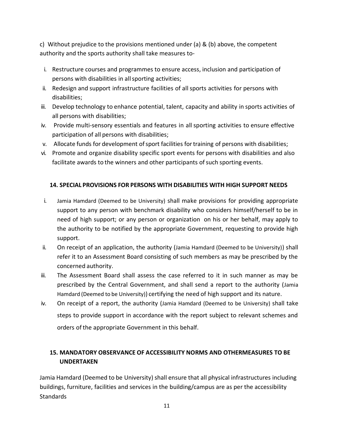c) Without prejudice to the provisions mentioned under (a) & (b) above, the competent authority and the sports authority shall take measures to-

- i. Restructure courses and programmes to ensure access, inclusion and participation of persons with disabilities in allsporting activities;
- ii. Redesign and support infrastructure facilities of all sports activities for persons with disabilities;
- iii. Develop technology to enhance potential, talent, capacity and ability in sports activities of all persons with disabilities;
- iv. Provide multi-sensory essentials and features in all sporting activities to ensure effective participation of all persons with disabilities;
- v. Allocate funds for development of sport facilities for training of persons with disabilities;
- vi. Promote and organize disability specific sport events for persons with disabilities and also facilitate awards to the winners and other participants of such sporting events.

#### <span id="page-11-0"></span>**14. SPECIAL PROVISIONS FOR PERSONS WITH DISABILITIES WITH HIGH SUPPORT NEEDS**

- i. Jamia Hamdard (Deemed to be University) shall make provisions for providing appropriate support to any person with benchmark disability who considers himself/herself to be in need of high support; or any person or organization on his or her behalf, may apply to the authority to be notified by the appropriate Government, requesting to provide high support.
- ii. On receipt of an application, the authority (Jamia Hamdard (Deemed to be University)) shall refer it to an Assessment Board consisting of such members as may be prescribed by the concerned authority.
- iii. The Assessment Board shall assess the case referred to it in such manner as may be prescribed by the Central Government, and shall send a report to the authority (Jamia Hamdard (Deemed to be University)) certifying the need of high support and its nature.
- iv. On receipt of a report, the authority (Jamia Hamdard (Deemed to be University) shall take steps to provide support in accordance with the report subject to relevant schemes and orders of the appropriate Government in this behalf.

#### <span id="page-11-1"></span>**15. MANDATORY OBSERVANCE OF ACCESSIBILITY NORMS AND OTHERMEASURES TO BE UNDERTAKEN**

Jamia Hamdard (Deemed to be University) shall ensure that all physical infrastructures including buildings, furniture, facilities and services in the building/campus are as per the accessibility **Standards**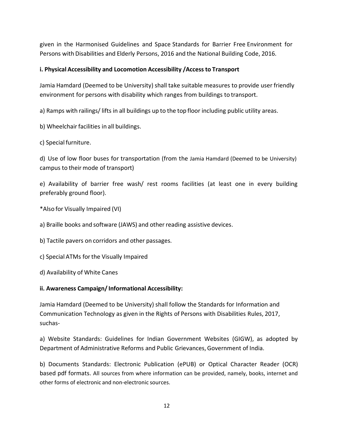given in the Harmonised Guidelines and Space Standards for Barrier Free Environment for Persons with Disabilities and Elderly Persons, 2016 and the National Building Code, 2016.

#### <span id="page-12-0"></span>**i. Physical Accessibility and Locomotion Accessibility /Access to Transport**

Jamia Hamdard (Deemed to be University) shall take suitable measures to provide user friendly environment for persons with disability which ranges from buildings to transport.

a) Ramps with railings/ lifts in all buildings up to the top floor including public utility areas.

- b) Wheelchair facilities in all buildings.
- c) Special furniture.

d) Use of low floor buses for transportation (from the Jamia Hamdard (Deemed to be University) campus to their mode of transport)

e) Availability of barrier free wash/ rest rooms facilities (at least one in every building preferably ground floor).

- \*Also for Visually Impaired (VI)
- a) Braille books and software (JAWS) and other reading assistive devices.
- b) Tactile pavers on corridors and other passages.
- c) Special ATMs forthe Visually Impaired
- d) Availability of White Canes

#### <span id="page-12-1"></span>**ii. Awareness Campaign/ Informational Accessibility:**

Jamia Hamdard (Deemed to be University) shall follow the Standards for Information and Communication Technology as given in the Rights of Persons with Disabilities Rules, 2017, suchas-

a) Website Standards: Guidelines for Indian Government Websites (GIGW), as adopted by Department of Administrative Reforms and Public Grievances,Government of India.

b) Documents Standards: Electronic Publication (ePUB) or Optical Character Reader (OCR) based pdf formats. All sources from where information can be provided, namely, books, internet and other forms of electronic and non-electronic sources.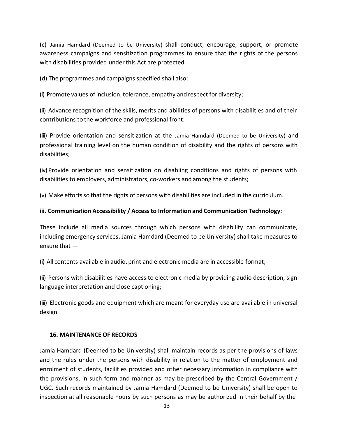(c) Jamia Hamdard (Deemed to be University) shall conduct, encourage, support, or promote awareness campaigns and sensitization programmes to ensure that the rights of the persons with disabilities provided under this Act are protected.

(d) The programmes and campaigns specified shall also:

(i) Promote values of inclusion,tolerance, empathy and respect for diversity;

(ii) Advance recognition of the skills, merits and abilities of persons with disabilities and of their contributions to the workforce and professional front:

(iii) Provide orientation and sensitization at the Jamia Hamdard (Deemed to be University) and professional training level on the human condition of disability and the rights of persons with disabilities;

(iv) Provide orientation and sensitization on disabling conditions and rights of persons with disabilities to employers, administrators, co-workers and among the students;

(v) Make effortsso that the rights of persons with disabilities are included in the curriculum.

#### <span id="page-13-0"></span>**iii. Communication Accessibility / Accessto Information and Communication Technology**:

These include all media sources through which persons with disability can communicate, including emergency services**.** Jamia Hamdard (Deemed to be University) shall take measures to ensure that —

(i) All contents available in audio, print and electronic media are in accessible format;

(ii) Persons with disabilities have access to electronic media by providing audio description, sign language interpretation and close captioning;

(iii) Electronic goods and equipment which are meant for everyday use are available in universal design.

#### <span id="page-13-1"></span>**16. MAINTENANCE OF RECORDS**

Jamia Hamdard (Deemed to be University) shall maintain records as per the provisions of laws and the rules under the persons with disability in relation to the matter of employment and enrolment of students, facilities provided and other necessary information in compliance with the provisions, in such form and manner as may be prescribed by the Central Government / UGC. Such records maintained by Jamia Hamdard (Deemed to be University) shall be open to inspection at all reasonable hours by such persons as may be authorized in their behalf by the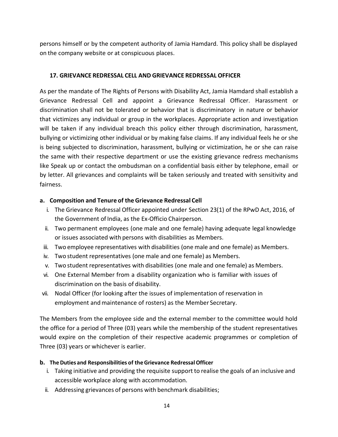persons himself or by the competent authority of Jamia Hamdard. This policy shall be displayed on the company website or at conspicuous places.

#### <span id="page-14-0"></span>**17. GRIEVANCE REDRESSAL CELL AND GRIEVANCE REDRESSAL OFFICER**

As per the mandate of The Rights of Persons with Disability Act, Jamia Hamdard shall establish a Grievance Redressal Cell and appoint a Grievance Redressal Officer. Harassment or discrimination shall not be tolerated or behavior that is discriminatory in nature or behavior that victimizes any individual or group in the workplaces. Appropriate action and investigation will be taken if any individual breach this policy either through discrimination, harassment, bullying or victimizing other individual or by making false claims. If any individual feels he or she is being subjected to discrimination, harassment, bullying or victimization, he or she can raise the same with their respective department or use the existing grievance redress mechanisms like Speak up or contact the ombudsman on a confidential basis either by telephone, email or by letter. All grievances and complaints will be taken seriously and treated with sensitivity and fairness.

#### **a. Composition and Tenure of theGrievance Redressal Cell**

- i. The Grievance Redressal Officer appointed under Section 23(1) of the RPwD Act, 2016, of the Government of India, as the Ex-Officio Chairperson.
- ii. Two permanent employees (one male and one female) having adequate legal knowledge or issues associated with persons with disabilities as Members.
- iii. Two employee representatives with disabilities (one male and one female) as Members.
- iv. Two student representatives (one male and one female) as Members.
- v. Two student representatives with disabilities (one male and one female) as Members.
- vi. One External Member from a disability organization who is familiar with issues of discrimination on the basis of disability.
- vii. Nodal Officer (for looking after the issues of implementation of reservation in employment and maintenance of rosters) as the Member Secretary.

The Members from the employee side and the external member to the committee would hold the office for a period of Three (03) years while the membership of the student representatives would expire on the completion of their respective academic programmes or completion of Three (03) years or whichever is earlier.

#### **b. TheDuties and Responsibilities of theGrievance RedressalOfficer**

- i. Taking initiative and providing the requisite support to realise the goals of an inclusive and accessible workplace along with accommodation.
- ii. Addressing grievances of persons with benchmark disabilities;